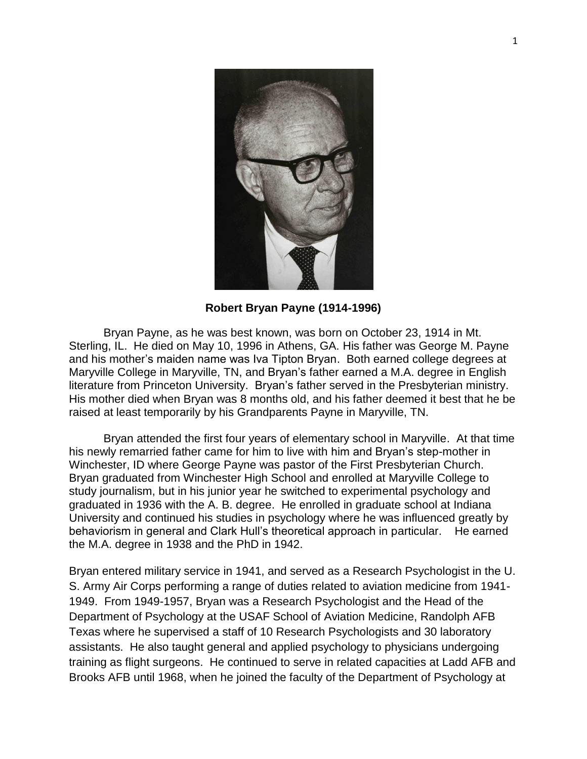

**Robert Bryan Payne (1914-1996)**

Bryan Payne, as he was best known, was born on October 23, 1914 in Mt. Sterling, IL. He died on May 10, 1996 in Athens, GA. His father was George M. Payne and his mother's maiden name was Iva Tipton Bryan. Both earned college degrees at Maryville College in Maryville, TN, and Bryan's father earned a M.A. degree in English literature from Princeton University. Bryan's father served in the Presbyterian ministry. His mother died when Bryan was 8 months old, and his father deemed it best that he be raised at least temporarily by his Grandparents Payne in Maryville, TN.

Bryan attended the first four years of elementary school in Maryville. At that time his newly remarried father came for him to live with him and Bryan's step-mother in Winchester, ID where George Payne was pastor of the First Presbyterian Church. Bryan graduated from Winchester High School and enrolled at Maryville College to study journalism, but in his junior year he switched to experimental psychology and graduated in 1936 with the A. B. degree. He enrolled in graduate school at Indiana University and continued his studies in psychology where he was influenced greatly by behaviorism in general and Clark Hull's theoretical approach in particular. He earned the M.A. degree in 1938 and the PhD in 1942.

Bryan entered military service in 1941, and served as a Research Psychologist in the U. S. Army Air Corps performing a range of duties related to aviation medicine from 1941- 1949. From 1949-1957, Bryan was a Research Psychologist and the Head of the Department of Psychology at the USAF School of Aviation Medicine, Randolph AFB Texas where he supervised a staff of 10 Research Psychologists and 30 laboratory assistants. He also taught general and applied psychology to physicians undergoing training as flight surgeons. He continued to serve in related capacities at Ladd AFB and Brooks AFB until 1968, when he joined the faculty of the Department of Psychology at